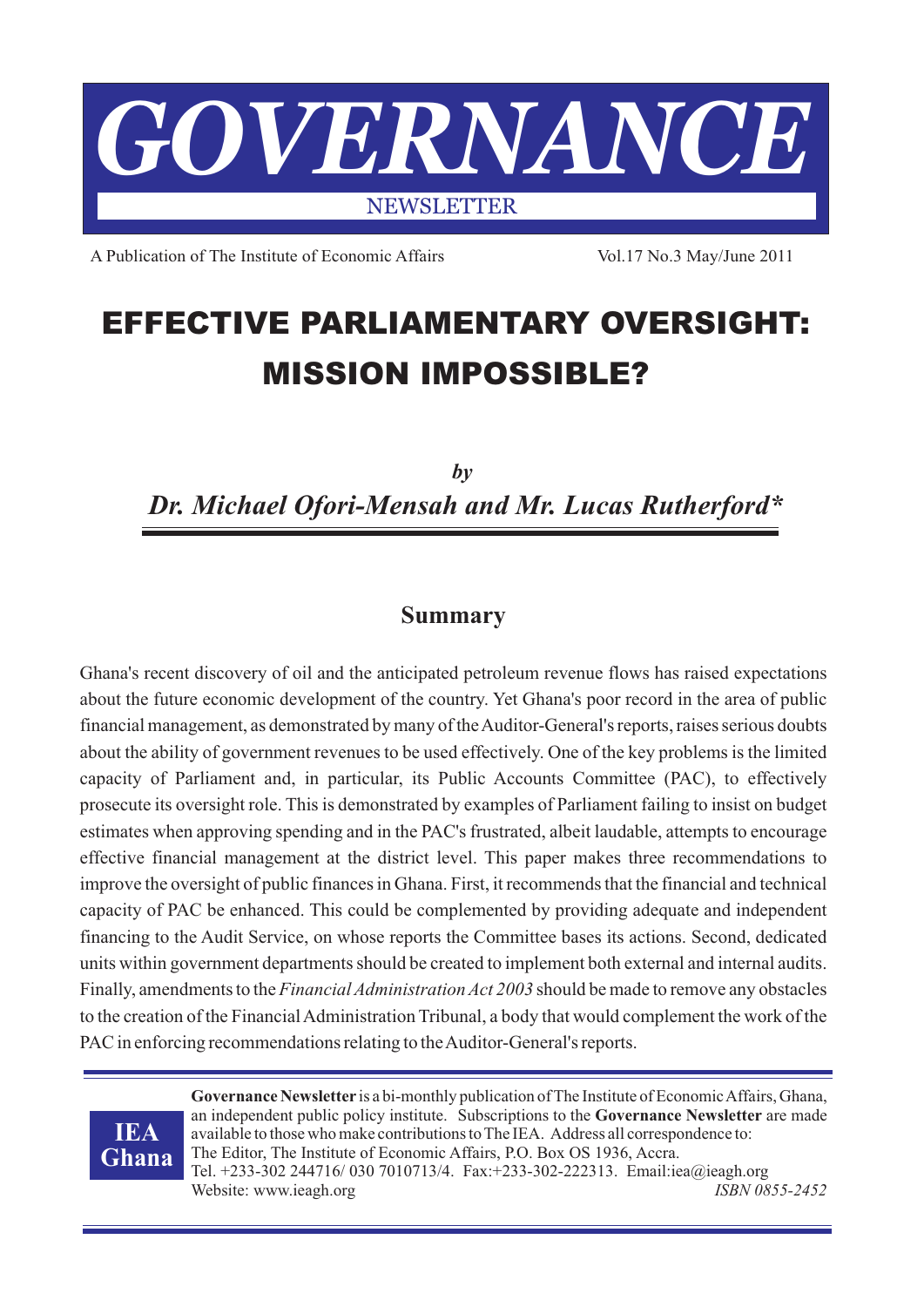

A Publication of The Institute of Economic Affairs Vol.17 No.3 May/June 2011

# **EFFECTIVE PARLIAMENTARY OVERSIGHT: MISSION IMPOSSIBLE?**

*by Dr. Michael Ofori-Mensah and Mr. Lucas Rutherford\**

## **Summary**

Ghana's recent discovery of oil and the anticipated petroleum revenue flows has raised expectations about the future economic development of the country. Yet Ghana's poor record in the area of public financial management, as demonstrated by many of the Auditor-General's reports, raises serious doubts about the ability of government revenues to be used effectively. One of the key problems is the limited capacity of Parliament and, in particular, its Public Accounts Committee (PAC), to effectively prosecute its oversight role. This is demonstrated by examples of Parliament failing to insist on budget estimates when approving spending and in the PAC's frustrated, albeit laudable, attempts to encourage effective financial management at the district level. This paper makes three recommendations to improve the oversight of public finances in Ghana. First, it recommends that the financial and technical capacity of PAC be enhanced. This could be complemented by providing adequate and independent financing to the Audit Service, on whose reports the Committee bases its actions. Second, dedicated units within government departments should be created to implement both external and internal audits. Finally, amendments to the *Financial Administration Act 2003* should be made to remove any obstacles to the creation of the Financial Administration Tribunal, a body that would complement the work of the PAC in enforcing recommendations relating to the Auditor-General's reports.



**Governance Newsletter** is a bi-monthly publication of The Institute of Economic Affairs, Ghana, an independent public policy institute. Subscriptions to the **Governance Newsletter** are made available to those who make contributions to The IEA. Address all correspondence to: The Editor, The Institute of Economic Affairs, P.O. Box OS 1936, Accra. Tel. +233-302 244716/ 030 7010713/4. Fax:+233-302-222313. Email:iea@ieagh.org Website: www.ieagh.org *ISBN 0855-2452*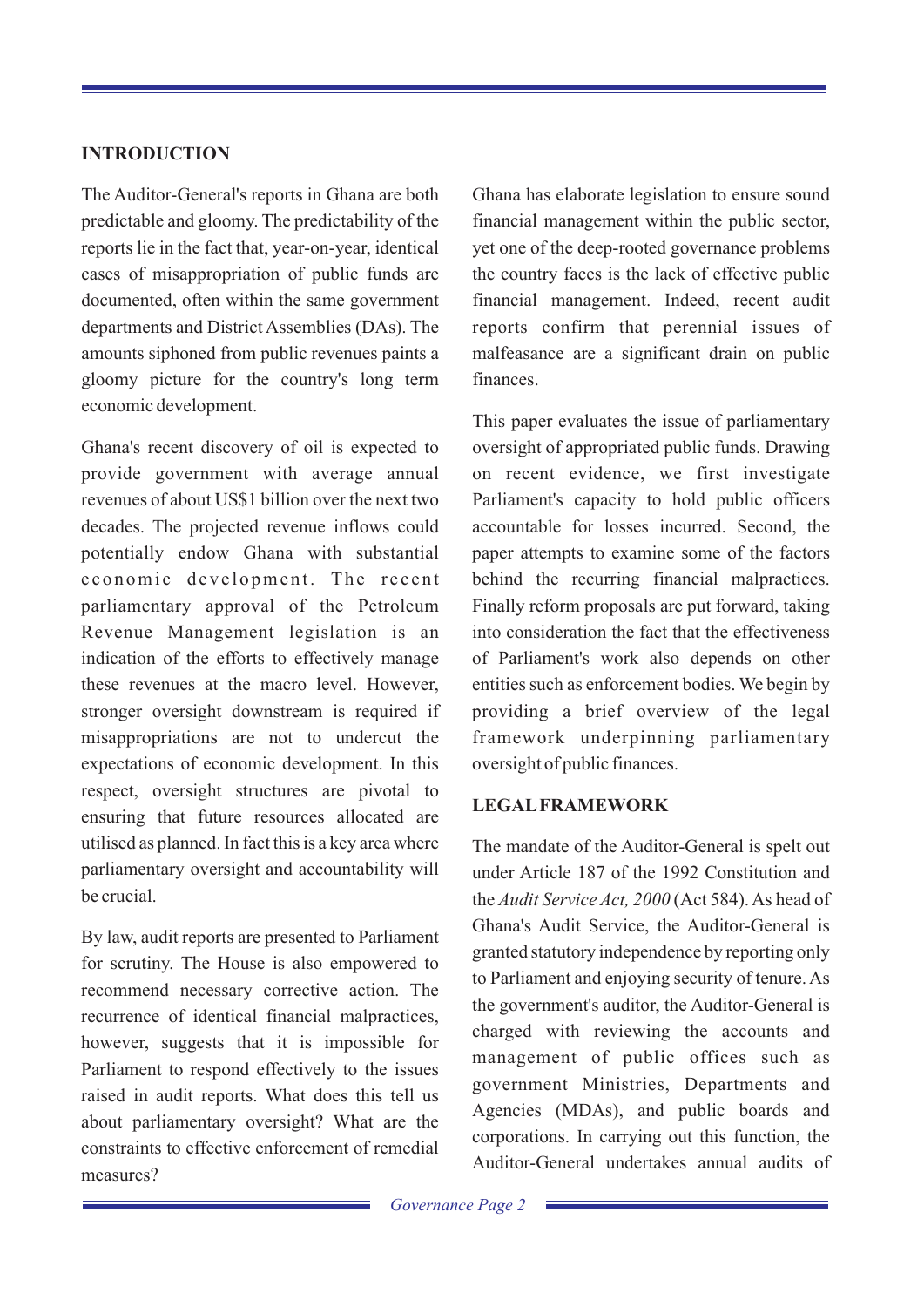### **INTRODUCTION**

The Auditor-General's reports in Ghana are both Ghana has elaborate legislation to ensure sound predictable and gloomy. The predictability of the financial management within the public sector, reports lie in the fact that, year-on-year, identical yet one of the deep-rooted governance problems cases of misappropriation of public funds are the country faces is the lack of effective public documented, often within the same government financial management. Indeed, recent audit departments and District Assemblies (DAs). The reports confirm that perennial issues of amounts siphoned from public revenues paints a malfeasance are a significant drain on public gloomy picture for the country's long term finances. economic development.

Ghana's recent discovery of oil is expected to oversight of appropriated public funds. Drawing provide government with average annual on recent evidence, we first investigate revenues of about US\$1 billion over the next two Parliament's capacity to hold public officers decades. The projected revenue inflows could accountable for losses incurred. Second, the potentially endow Ghana with substantial paper attempts to examine some of the factors e conomic development. The recent behind the recurring financial malpractices. parliamentary approval of the Petroleum Finally reform proposals are put forward, taking Revenue Management legislation is an into consideration the fact that the effectiveness indication of the efforts to effectively manage of Parliament's work also depends on other these revenues at the macro level. However, entities such as enforcement bodies. We begin by stronger oversight downstream is required if providing a brief overview of the legal misappropriations are not to undercut the framework underpinning parliamentary expectations of economic development. In this oversight of public finances. respect, oversight structures are pivotal to **LEGALFRAMEWORK**<br>ensuring that future resources allocated are utilised as planned. In fact this is a key area where The mandate of the Auditor-General is spelt out parliamentary oversight and accountability will under Article 187 of the 1992 Constitution and

for scrutiny. The House is also empowered to<br>to Parliament and enjoying security of tenure. As recommend necessary corrective action. The recurrence of identical financial malpractices, however, suggests that it is impossible for Parliament to respond effectively to the issues raised in audit reports. What does this tell us Agencies (MDAs), and public boards and about parliamentary oversight? What are the corporations. In carrying out this function, the constraints to effective enforcement of remedial Auditor-General undertakes annual audits of measures?

This paper evaluates the issue of parliamentary

be crucial. the *Audit Service Act, 2000* (Act 584). As head of By law, audit reports are presented to Parliament<br>
granted statutory independence by reporting only the government's auditor, the Auditor-General is charged with reviewing the accounts and management of public offices such as government Ministries, Departments and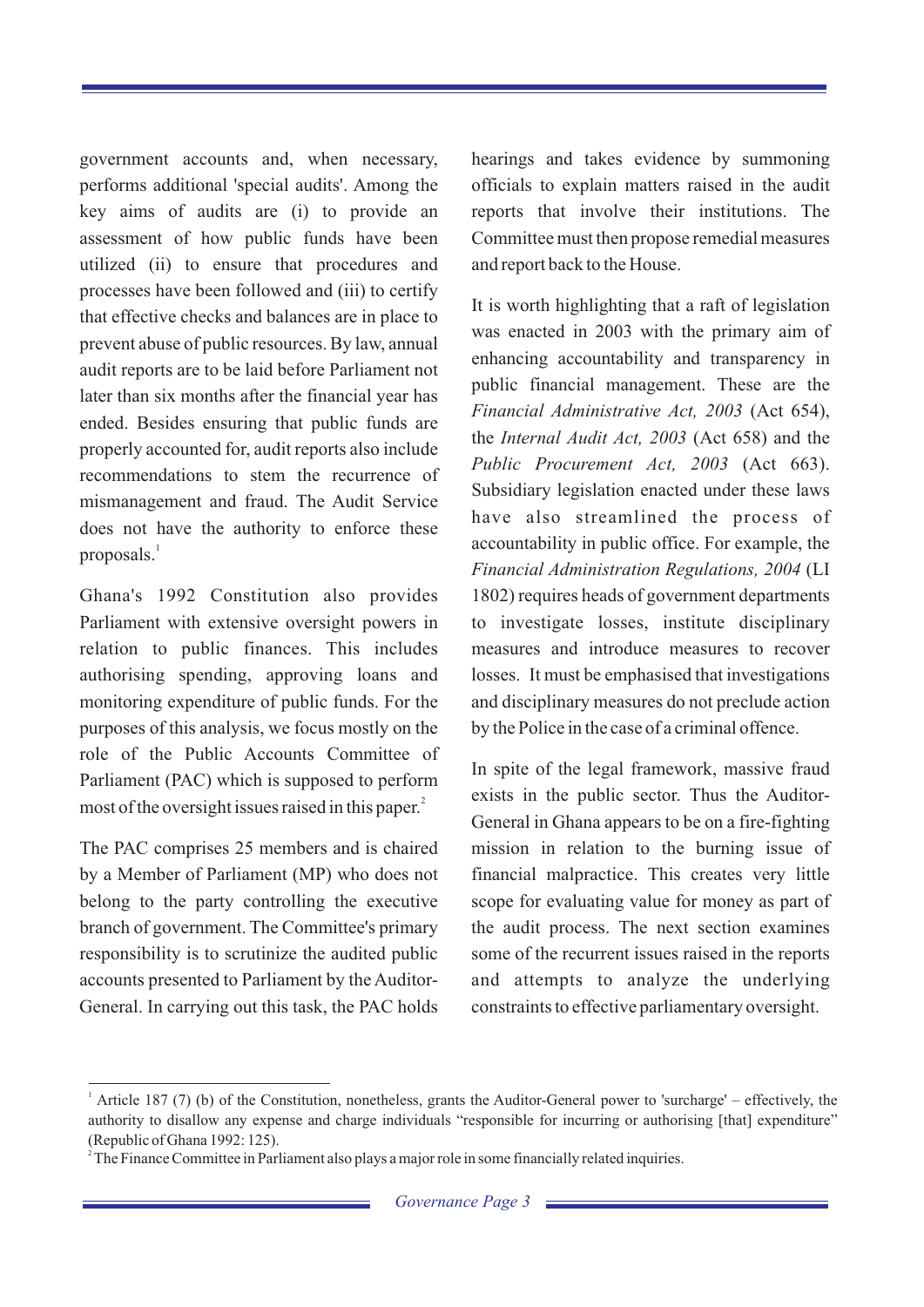government accounts and, when necessary, hearings and takes evidence by summoning performs additional 'special audits'. Among the officials to explain matters raised in the audit key aims of audits are (i) to provide an reports that involve their institutions. The assessment of how public funds have been Committee must then propose remedial measures utilized (ii) to ensure that procedures and and report back to the House. processes have been followed and (iii) to certify It is worth highlighting that a raft of legislation that effective checks and balances are in place to prevent abuse of public resources. By law, annual enhancing accountability and transparency in audit reports are to be laid before Parliament not public financial management. These are the later than six months after the financial year has<br>Financial Administrative Act, 2003 (Act 654), ended. Besides ensuring that public funds are the *Internal Audit Act, 2003* (Act 658) and the entitled are the *Internal Audit Act, 2003* (Act 658) and the properly accounted for, audit reports also include recommendations to stem the recurrence of Subsidiary legislation enacted under these laws mismanagement and fraud. The Audit Service does not have the authority to enforce these accountability in public office. For example, the proposals.<sup>1</sup>

Ghana's 1992 Constitution also provides 1802) requires heads of government departments Parliament with extensive oversight powers in to investigate losses, institute disciplinary relation to public finances. This includes measures and introduce measures to recover authorising spending, approving loans and losses. It must be emphasised that investigations monitoring expenditure of public funds. For the and disciplinary measures do not preclude action purposes of this analysis, we focus mostly on the by the Police in the case of a criminal offence. role of the Public Accounts Committee of In spite of the legal framework, massive fraud Parliament (PAC) which is supposed to perform most of the oversight issues raised in this paper.

The PAC comprises 25 members and is chaired mission in relation to the burning issue of by a Member of Parliament (MP) who does not financial malpractice. This creates very little belong to the party controlling the executive scope for evaluating value for money as part of branch of government. The Committee's primary the audit process. The next section examines responsibility is to scrutinize the audited public some of the recurrent issues raised in the reports accounts presented to Parliament by the Auditor- and attempts to analyze the underlying General. In carrying out this task, the PAC holds constraints to effective parliamentary oversight.

was enacted in 2003 with the primary aim of *Public Procurement Act, 2003* (Act 663). have also streamlined the process of *Financial Administration Regulations, 2004* (LI

exists in the public sector. Thus the Auditor-General in Ghana appears to be on a fire-fighting

<sup>&</sup>lt;sup>1</sup> Article 187 (7) (b) of the Constitution, nonetheless, grants the Auditor-General power to 'surcharge' – effectively, the authority to disallow any expense and charge individuals "responsible for incurring or authorising [that] expenditure" (Republic of Ghana 1992: 125).

 $2^2$ The Finance Committee in Parliament also plays a major role in some financially related inquiries.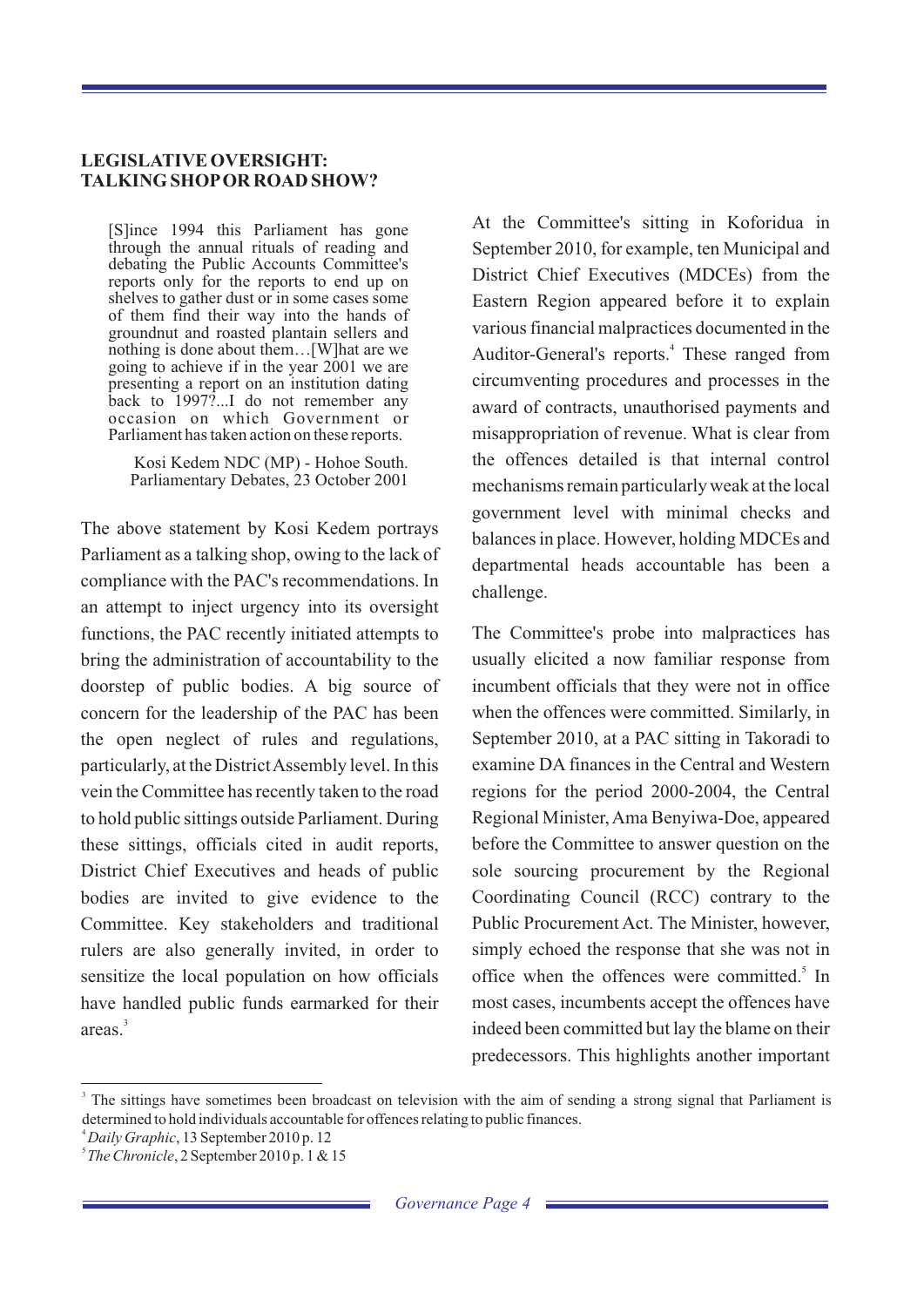#### **LEGISLATIVE OVERSIGHT: TALKING SHOPOR ROAD SHOW?**

of them find their way into the hands of going to achieve if in the year 2001 we are occasion on which Government or

compliance with the PAC's recommendations. In challenge. an attempt to inject urgency into its oversight functions, the PAC recently initiated attempts to The Committee's probe into malpractices has bring the administration of accountability to the usually elicited a now familiar response from doorstep of public bodies. A big source of incumbent officials that they were not in office concern for the leadership of the PAC has been when the offences were committed. Similarly, in the open neglect of rules and regulations, September 2010, at a PAC sitting in Takoradi to particularly, at the District Assembly level. In this examine DA finances in the Central and Western vein the Committee has recently taken to the road regions for the period 2000-2004, the Central to hold public sittings outside Parliament. During Regional Minister, Ama Benyiwa-Doe, appeared these sittings, officials cited in audit reports, before the Committee to answer question on the District Chief Executives and heads of public sole sourcing procurement by the Regional bodies are invited to give evidence to the Coordinating Council (RCC) contrary to the Committee. Key stakeholders and traditional Public Procurement Act. The Minister, however, rulers are also generally invited, in order to simply echoed the response that she was not in sensitize the local population on how officials have handled public funds earmarked for their most cases, incumbents accept the offences have  $area<sup>3</sup>$ 

[S]ince 1994 this Parliament has gone At the Committee's sitting in Koforidua in through the annual rituals of reading and September 2010 for example, ten Municipal and through the annual rituals of reading and September 2010, for example, ten Municipal and debating the Public Accounts Committee's debating the Public Accounts Committee's District Chief Executives (MDCEs) from the reports only for the reports to end up on the reports of pather dust or in some cases some Eastern Region appeared before it to explain Eastern Region appeared before it to explain groundnut and roasted plantain sellers and<br>nothing is done about them.... [W] hat are we and roasted plantain sellers and  $\frac{1}{2}$  and  $\frac{1}{2}$  and  $\frac{1}{2}$  and  $\frac{1}{2}$  and  $\frac{1}{2}$  and  $\frac{1}{2}$  and  $\frac{1}{2}$  and  $\$ Auditor-General's reports.<sup>4</sup> These ranged from presenting a report on an institution dating<br>back to 1997....I do not remember any award of contracts unauthorised payments and award of contracts, unauthorised payments and misappropriation of revenue. What is clear from Kosi Kedem NDC (MP) - Hohoe South. the offences detailed is that internal control<br>Parliamentary Debates, 23 October 2001 mechanisms remain particularly weak at the local government level with minimal checks and The above statement by Kosi Kedem portrays<br>
balances in place. However, holding MDCEs and<br>
Parliament as a talking shop, owing to the lack of departmental heads accountable has been a

> office when the offences were committed.<sup>5</sup> In indeed been committed but lay the blame on their predecessors. This highlights another important

 $=$ 

<sup>&</sup>lt;sup>3</sup> The sittings have sometimes been broadcast on television with the aim of sending a strong signal that Parliament is determined to hold individuals accountable for offences relating to public finances.

<sup>4</sup>*Daily Graphic*, 13 September 2010 p. 12

<sup>5</sup>*The Chronicle*, 2 September 2010 p. 1 & 15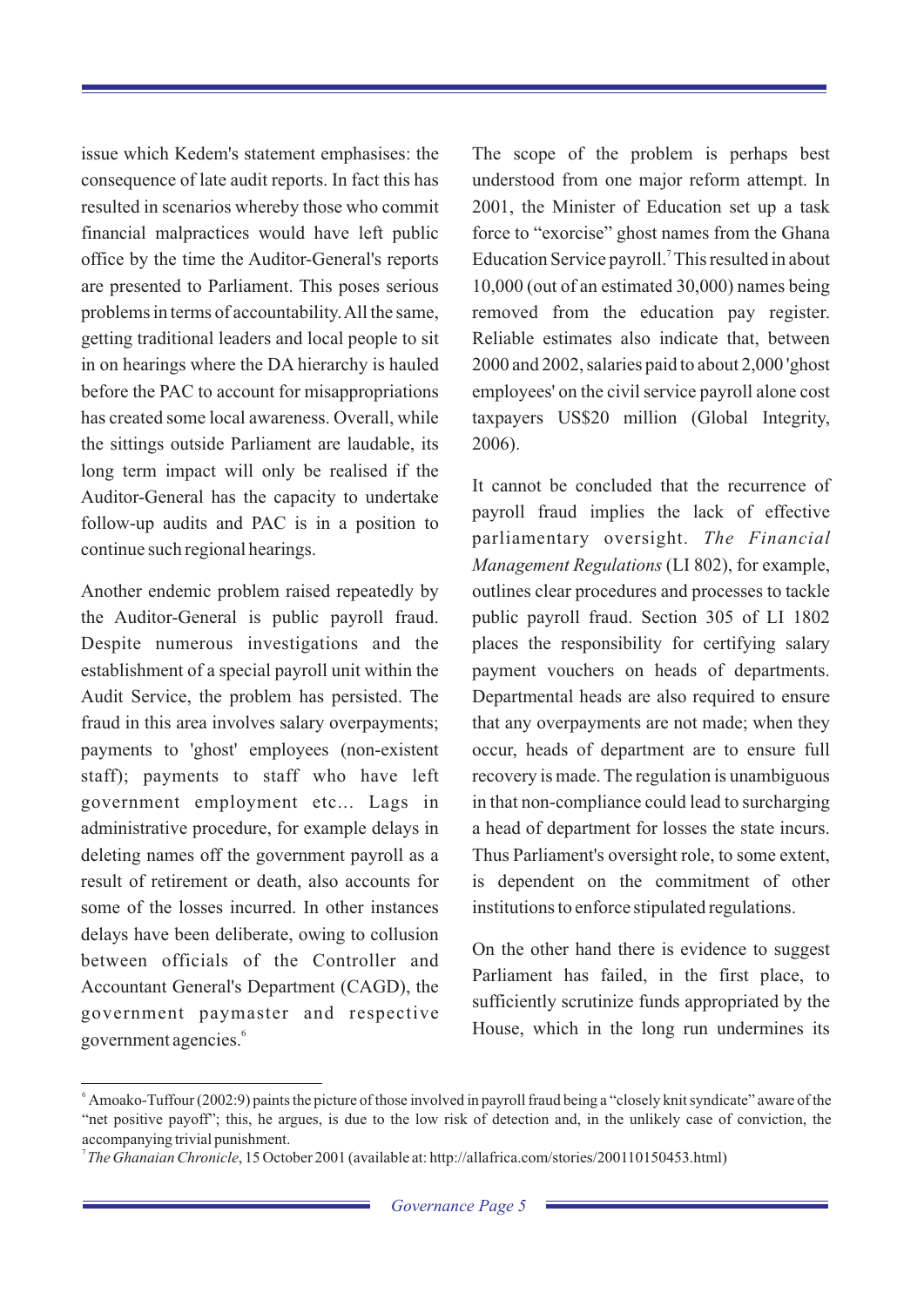issue which Kedem's statement emphasises: the The scope of the problem is perhaps best consequence of late audit reports. In fact this has understood from one major reform attempt. In resulted in scenarios whereby those who commit 2001, the Minister of Education set up a task financial malpractices would have left public force to "exorcise" ghost names from the Ghana office by the time the Auditor-General's reports Education Service payroll.<sup>7</sup> This resulted in about are presented to Parliament. This poses serious 10,000 (out of an estimated 30,000) names being problems in terms of accountability. All the same, removed from the education pay register. getting traditional leaders and local people to sit Reliable estimates also indicate that, between in on hearings where the DA hierarchy is hauled 2000 and 2002, salaries paid to about 2,000 'ghost before the PAC to account for misappropriations employees' on the civil service payroll alone cost has created some local awareness. Overall, while taxpayers US\$20 million (Global Integrity, the sittings outside Parliament are laudable, its 2006). long term impact will only be realised if the It cannot be concluded that the recurrence of<br>auditor-General has the capacity to undertake<br>avail fraud implies the lack of effective follow-up audits and PAC is in a position to continue such regional hearings.

Another endemic problem raised repeatedly by outlines clear procedures and processes to tackle the Auditor-General is public payroll fraud. public payroll fraud. Section 305 of LI 1802 Despite numerous investigations and the places the responsibility for certifying salary establishment of a special payroll unit within the payment vouchers on heads of departments. Audit Service, the problem has persisted. The Departmental heads are also required to ensure fraud in this area involves salary overpayments; that any overpayments are not made; when they payments to 'ghost' employees (non-existent occur, heads of department are to ensure full staff); payments to staff who have left recovery is made. The regulation is unambiguous government employment etc... Lags in in that non-compliance could lead to surcharging administrative procedure, for example delays in a head of department for losses the state incurs. deleting names off the government payroll as a Thus Parliament's oversight role, to some extent, result of retirement or death, also accounts for is dependent on the commitment of other some of the losses incurred. In other instances institutions to enforce stipulated regulations. delays have been deliberate, owing to collusion On the other hand there is evidence to suggest<br>between officials of the Controller and<br>Parliament has failed, in the first place, to Accountant General's Department (CAGD), the government paymaster and respective government agencies.

parliamentary oversight. *The Financial Management Regulations* (LI 802), for example,

sufficiently scrutinize funds appropriated by the <sup>6</sup> House, which in the long run undermines its

<sup>&</sup>lt;sup>6</sup> Amoako-Tuffour (2002:9) paints the picture of those involved in payroll fraud being a "closely knit syndicate" aware of the "net positive payoff"; this, he argues, is due to the low risk of detection and, in the unlikely case of conviction, the accompanying trivial punishment.

<sup>7</sup>*The Ghanaian Chronicle*, 15 October 2001 (available at: http://allafrica.com/stories/200110150453.html)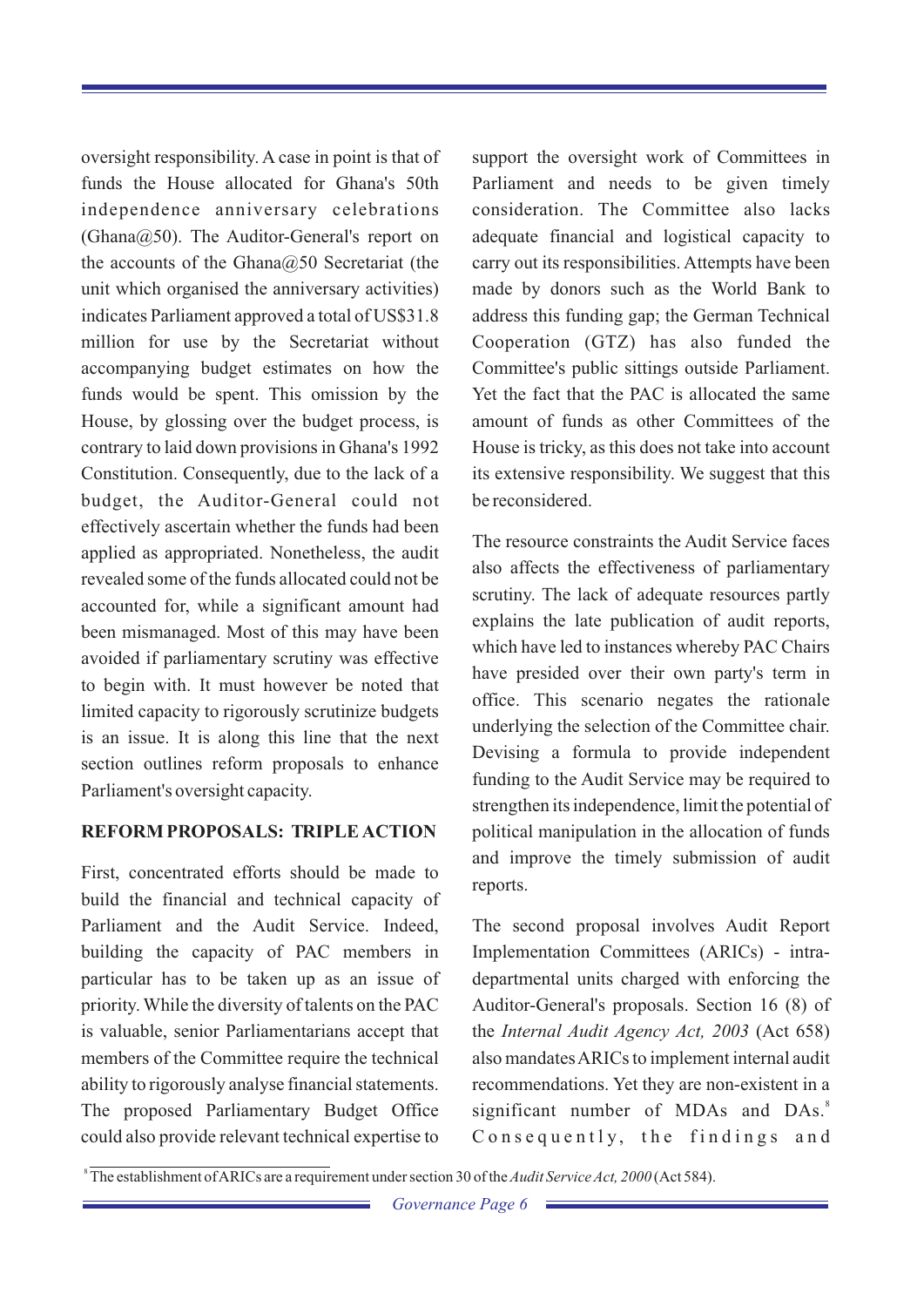funds the House allocated for Ghana's 50th Parliament and needs to be given timely independence anniversary celebrations consideration. The Committee also lacks  $(Ghana@50)$ . The Auditor-General's report on adequate financial and logistical capacity to the accounts of the Ghana $@50$  Secretariat (the carry out its responsibilities. Attempts have been unit which organised the anniversary activities) made by donors such as the World Bank to indicates Parliament approved a total of US\$31.8 address this funding gap; the German Technical million for use by the Secretariat without Cooperation (GTZ) has also funded the accompanying budget estimates on how the Committee's public sittings outside Parliament. funds would be spent. This omission by the Yet the fact that the PAC is allocated the same House, by glossing over the budget process, is amount of funds as other Committees of the contrary to laid down provisions in Ghana's 1992 House is tricky, as this does not take into account Constitution. Consequently, due to the lack of a its extensive responsibility. We suggest that this budget, the Auditor-General could not be reconsidered. effectively ascertain whether the funds had been The resource constraints the Audit Service faces<br>applied as appropriated. Nonetheless, the audit<br>also affects the effectiveness of parliamentary revealed some of the funds allocated could not be scrutiny. The lack of adequate resources partly<br>explains the late publication of audit reports, been mismanaged. Most of this may have been which have led to instances whereby PAC Chairs avoided if parliamentary scrutiny was effective to begin with. It must however be noted that limited capacity to rigorously scrutinize budgets<br>underlying the selection of the Committee chair. is an issue. It is along this line that the next<br>Devising a formula to provide independent section outlines reform proposals to enhance Funding to the Audit Service may be required to Parliament's oversight capacity.

### **REFORM PROPOSALS: TRIPLE ACTION** political manipulation in the allocation of funds

First, concentrated efforts should be made to build the financial and technical capacity of Parliament and the Audit Service. Indeed, The second proposal involves Audit Report building the capacity of PAC members in Implementation Committees (ARICs) - intraparticular has to be taken up as an issue of departmental units charged with enforcing the priority. While the diversity of talents on the PAC Auditor-General's proposals. Section 16 (8) of is valuable, senior Parliamentarians accept that the *Internal Audit Agency Act, 2003* (Act 658) members of the Committee require the technical also mandates ARICs to implement internal audit ability to rigorously analyse financial statements. recommendations. Yet they are non-existent in a The proposed Parliamentary Budget Office could also provide relevant technical expertise to  $C$  o n s e q u e n t l y, the f i n d i n g s a n d

oversight responsibility. A case in point is that of support the oversight work of Committees in

have presided over their own party's term in strengthen its independence, limit the potential of and improve the timely submission of audit reports.

significant number of MDAs and DAs.<sup>8</sup>

<sup>8</sup> The establishment of ARICs are a requirement under section 30 of the *Audit Service Act, 2000* (Act 584).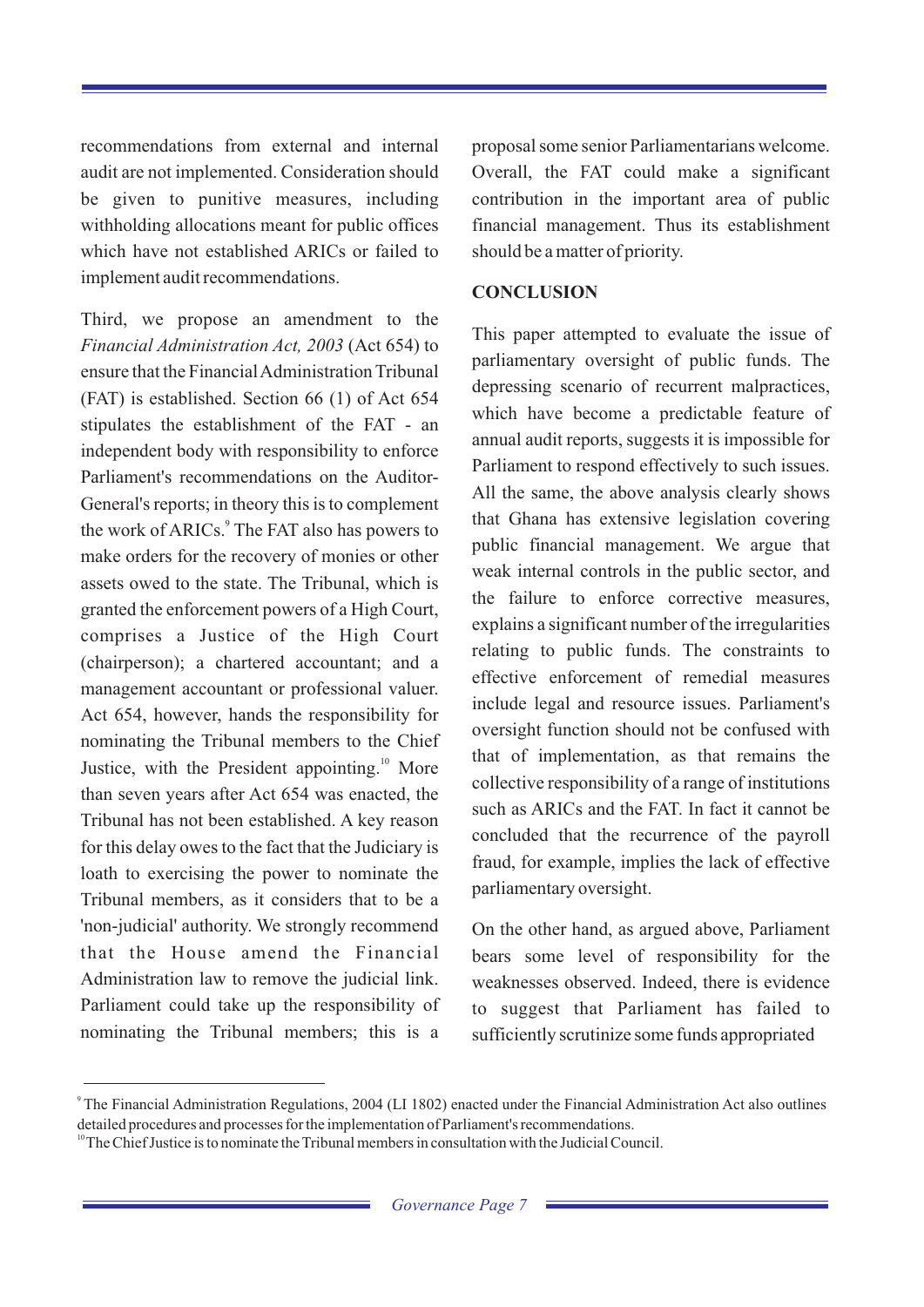recommendations from external and internal proposal some senior Parliamentarians welcome. audit are not implemented. Consideration should Overall, the FAT could make a significant be given to punitive measures, including contribution in the important area of public withholding allocations meant for public offices financial management. Thus its establishment which have not established ARICs or failed to should be a matter of priority. implement audit recommendations.

Third, we propose an amendment to the This paper attempted to evaluate the issue of *Financial Administration Act, 2003* (Act 654) to ensure that the Financial Administration Tribunal depressing scenario of recurrent malpractices,<br>(FAT) is established. Section 66 (1) of Act 654 which have become a predictable feature of stipulates the establishment of the FAT - an<br>annual audit reports, suggests it is impossible for independent body with responsibility to enforce<br>Parliament to respond effectively to such issues. Parliament's recommendations on the Auditor-<br>All the same, the above analysis clearly shows General's reports; in theory this is to complement<br>that Ghana has extensive legislation covering the work of ARICs.<sup>9</sup> The FAT also has powers to public financial management. We argue that make orders for the recovery of monies or other assets owed to the state. The Tribunal, which is the failure to enforce corrective measures, granted the enforcement powers of a High Court, comprises a Justice of the High Court relating to public funds. The constraints to (chairperson); a chartered accountant; and a management accountant or professional valuer. Include legal and resource issues. Parliament's<br>Act 654, however, hands the responsibility for<br>a coversight function should not be confused with nominating the Tribunal members to the Chief<br>that of implementation, as that remains the Justice, with the President appointing.<sup>10</sup> More<br>collective responsibility of a range of institutions collective responsibility of a range of institutions than seven years after Act 654 was enacted, the such as ARICs and the FAT. In fact it cannot be Tribunal has not been established. A key reason concluded that the recurrence of the payroll for this delay owes to the fact that the Judiciary is<br>fraud, for example, implies the lack of effective loath to exercising the power to nominate the lack of example, implies  $\frac{1}{2}$ Tribunal members, as it considers that to be a 'non-judicial' authority. We strongly recommend On the other hand, as argued above, Parliament that the House amend the Financial bears some level of responsibility for the Administration law to remove the judicial link. weaknesses observed. Indeed, there is evidence Parliament could take up the responsibility of to suggest that Parliament has failed to

#### **CONCLUSION**

parliamentary oversight of public funds. The weak internal controls in the public sector, and explains a significant number of the irregularities effective enforcement of remedial measures

nominating the Tribunal members; this is a sufficiently scrutinize some funds appropriated

 $\degree$ The Financial Administration Regulations, 2004 (LI 1802) enacted under the Financial Administration Act also outlines detailed procedures and processes for the implementation of Parliament's recommendations.

The Chief Justice is to nominate the Tribunal members in consultation with the Judicial Council.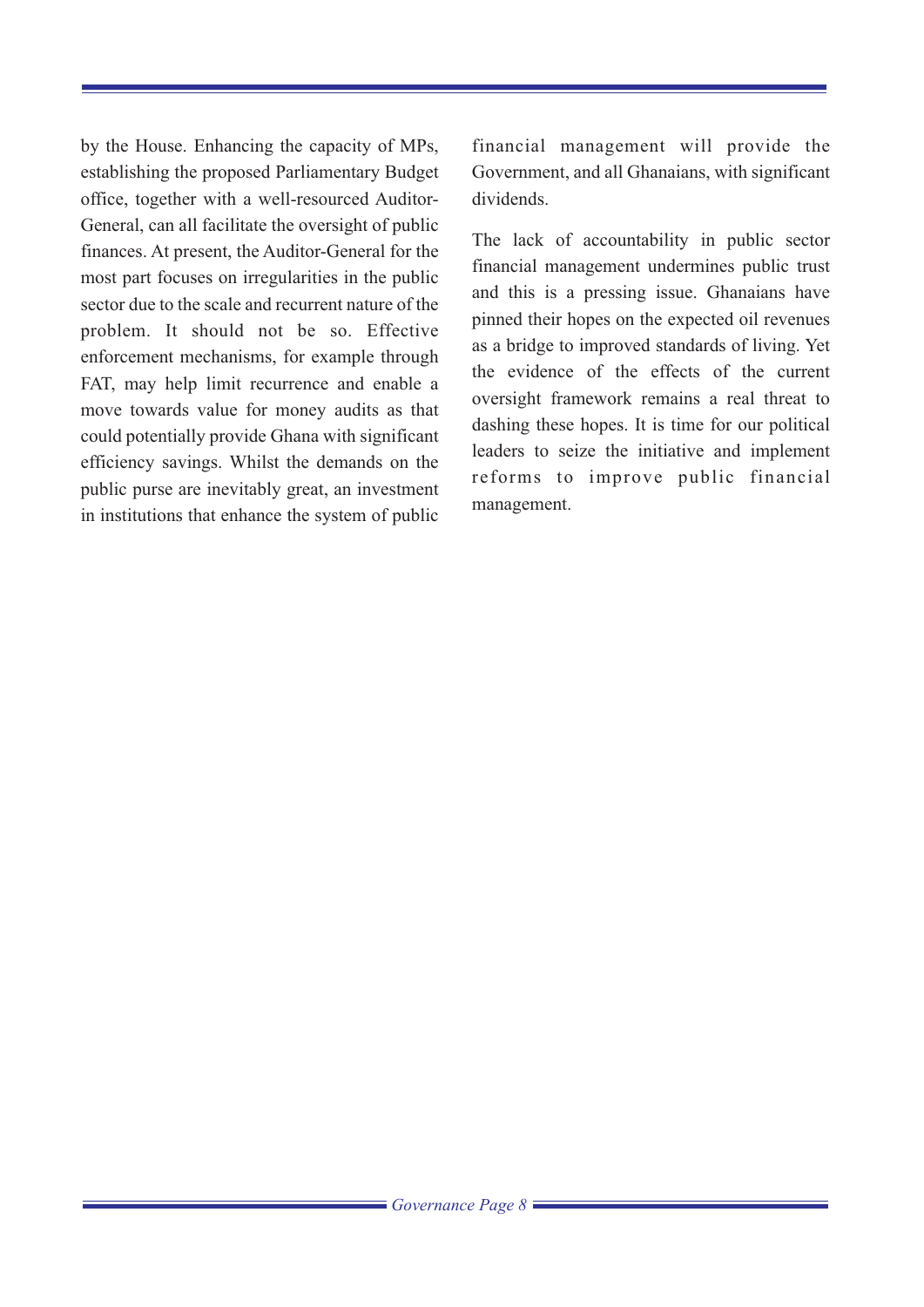by the House. Enhancing the capacity of MPs, financial management will provide the establishing the proposed Parliamentary Budget Government, and all Ghanaians, with significant office, together with a well-resourced Auditor- dividends. General, can all facilitate the oversight of public The lack of accountability in public sector finances. At present, the Auditor-General for the most part focuses on irregularities in the public sector due to the scale and recurrent nature of the problem. It should not be so. Effective as a bridge to improved standards of living. Yet<br>the evidence of the effects of the current FAT, may help limit recurrence and enable a move towards value for money audits as that dashing these hopes. It is time for our political<br>could potentially provide Ghana with significant<br>leaders to seize the initiative and implement efficiency savings. Whilst the demands on the public purse are inevitably great, an investment management.<br>in institutions that enhance the system of public management.

financial management undermines public trust and this is a pressing issue. Ghanaians have pinned their hopes on the expected oil revenues oversight framework remains a real threat to reforms to improve public financial